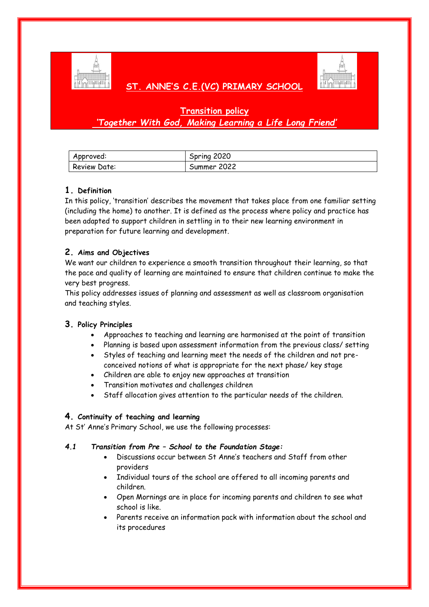

# **ST. ANNE'S C.E.(VC) PRIMARY SCHOOL**



## **Transition policy**  *'Together With God, Making Learning a Life Long Friend'*

| Approved:    | Spring 2020 |
|--------------|-------------|
| Review Date: | Summer 2022 |

### **1. Definition**

In this policy, 'transition' describes the movement that takes place from one familiar setting (including the home) to another. It is defined as the process where policy and practice has been adapted to support children in settling in to their new learning environment in preparation for future learning and development.

## **2. Aims and Objectives**

We want our children to experience a smooth transition throughout their learning, so that the pace and quality of learning are maintained to ensure that children continue to make the very best progress.

This policy addresses issues of planning and assessment as well as classroom organisation and teaching styles.

### **3. Policy Principles**

- Approaches to teaching and learning are harmonised at the point of transition
- Planning is based upon assessment information from the previous class/ setting
- Styles of teaching and learning meet the needs of the children and not preconceived notions of what is appropriate for the next phase/ key stage
- Children are able to enjoy new approaches at transition
- Transition motivates and challenges children
- Staff allocation gives attention to the particular needs of the children.

### **4. Continuity of teaching and learning**

At St' Anne's Primary School, we use the following processes:

### *4.1 Transition from Pre – School to the Foundation Stage:*

- Discussions occur between St Anne's teachers and Staff from other providers
- Individual tours of the school are offered to all incoming parents and children.
- Open Mornings are in place for incoming parents and children to see what school is like.
- Parents receive an information pack with information about the school and its procedures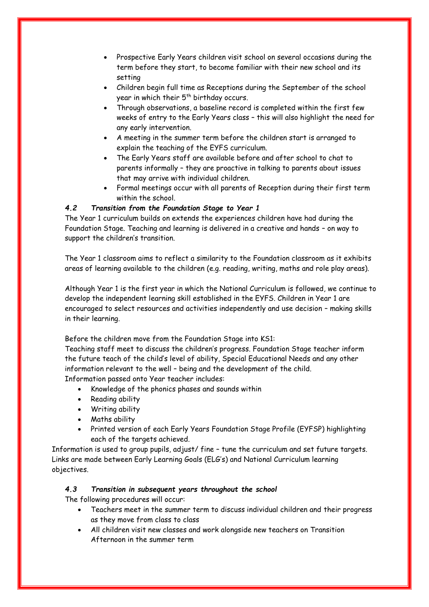- Prospective Early Years children visit school on several occasions during the term before they start, to become familiar with their new school and its setting
- Children begin full time as Receptions during the September of the school year in which their  $5<sup>th</sup>$  birthday occurs.
- Through observations, a baseline record is completed within the first few weeks of entry to the Early Years class – this will also highlight the need for any early intervention.
- A meeting in the summer term before the children start is arranged to explain the teaching of the EYFS curriculum.
- The Early Years staff are available before and after school to chat to parents informally – they are proactive in talking to parents about issues that may arrive with individual children.
- Formal meetings occur with all parents of Reception during their first term within the school.

### *4.2 Transition from the Foundation Stage to Year 1*

The Year 1 curriculum builds on extends the experiences children have had during the Foundation Stage. Teaching and learning is delivered in a creative and hands – on way to support the children's transition.

The Year 1 classroom aims to reflect a similarity to the Foundation classroom as it exhibits areas of learning available to the children (e.g. reading, writing, maths and role play areas).

Although Year 1 is the first year in which the National Curriculum is followed, we continue to develop the independent learning skill established in the EYFS. Children in Year 1 are encouraged to select resources and activities independently and use decision – making skills in their learning.

Before the children move from the Foundation Stage into KS1:

Teaching staff meet to discuss the children's progress. Foundation Stage teacher inform the future teach of the child's level of ability, Special Educational Needs and any other information relevant to the well – being and the development of the child. Information passed onto Year teacher includes:

- Knowledge of the phonics phases and sounds within
- Reading ability
- Writing ability
- Maths ability
- Printed version of each Early Years Foundation Stage Profile (EYFSP) highlighting each of the targets achieved.

Information is used to group pupils, adjust/ fine – tune the curriculum and set future targets. Links are made between Early Learning Goals (ELG's) and National Curriculum learning objectives.

### *4.3 Transition in subsequent years throughout the school*

The following procedures will occur:

- Teachers meet in the summer term to discuss individual children and their progress as they move from class to class
- All children visit new classes and work alongside new teachers on Transition Afternoon in the summer term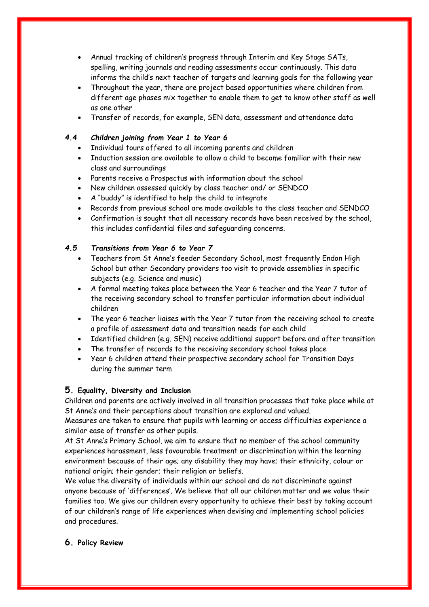- Annual tracking of children's progress through Interim and Key Stage SATs, spelling, writing journals and reading assessments occur continuously. This data informs the child's next teacher of targets and learning goals for the following year
- Throughout the year, there are project based opportunities where children from different age phases mix together to enable them to get to know other staff as well as one other
- Transfer of records, for example, SEN data, assessment and attendance data

#### *4.4 Children joining from Year 1 to Year 6*

- Individual tours offered to all incoming parents and children
- Induction session are available to allow a child to become familiar with their new class and surroundings
- Parents receive a Prospectus with information about the school
- New children assessed quickly by class teacher and/ or SENDCO
- A "buddy" is identified to help the child to integrate
- Records from previous school are made available to the class teacher and SENDCO
- Confirmation is sought that all necessary records have been received by the school, this includes confidential files and safeguarding concerns.

#### *4.5 Transitions from Year 6 to Year 7*

- Teachers from St Anne's feeder Secondary School, most frequently Endon High School but other Secondary providers too visit to provide assemblies in specific subjects (e.g. Science and music)
- A formal meeting takes place between the Year 6 teacher and the Year 7 tutor of the receiving secondary school to transfer particular information about individual children
- The year 6 teacher liaises with the Year 7 tutor from the receiving school to create a profile of assessment data and transition needs for each child
- Identified children (e.g. SEN) receive additional support before and after transition
- The transfer of records to the receiving secondary school takes place
- Year 6 children attend their prospective secondary school for Transition Days during the summer term

#### **5. Equality, Diversity and Inclusion**

Children and parents are actively involved in all transition processes that take place while at St Anne's and their perceptions about transition are explored and valued.

Measures are taken to ensure that pupils with learning or access difficulties experience a similar ease of transfer as other pupils.

At St Anne's Primary School, we aim to ensure that no member of the school community experiences harassment, less favourable treatment or discrimination within the learning environment because of their age; any disability they may have; their ethnicity, colour or national origin; their gender; their religion or beliefs.

We value the diversity of individuals within our school and do not discriminate against anyone because of 'differences'. We believe that all our children matter and we value their families too. We give our children every opportunity to achieve their best by taking account of our children's range of life experiences when devising and implementing school policies and procedures.

### **6. Policy Review**